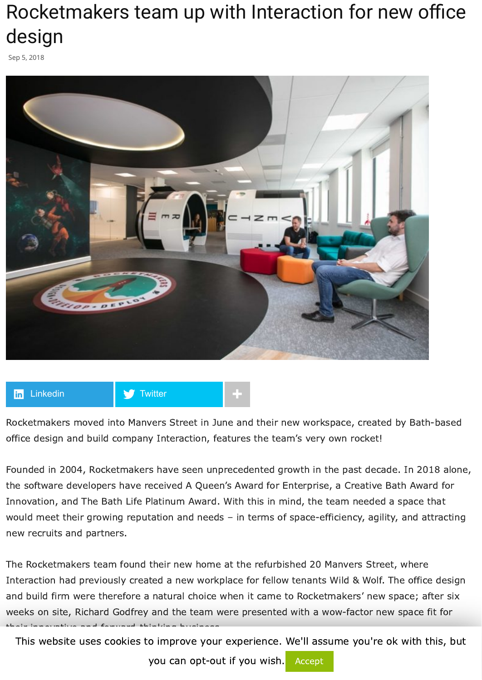## Rocketmakers team up with Interaction for new office design

Sep 5, 2018



**H<sub>in</sub>** [Linkedin](https://www.linkedin.com/shareArticle?trk=Rocketmakers+team+up+with+Interaction+for+new+office+design&url=http%3A%2F%2Fwww.commercialnewsmedia.com%2Farchives%2F80068) **+ + +** [Twitter](https://twitter.com/intent/tweet?text=Rocketmakers%20team%20up%20with%20Interaction%20for%20new%20office%20design&url=http://www.commercialnewsmedia.com/?p=80068&via=propnews)

their innovative and forward-thinking business.

Rocketmakers moved into Manvers Street in June and their new workspace, created by Bath-based office design and build company Interaction, features the team's very own rocket!

Founded in 2004, Rocketmakers have seen unprecedented growth in the past decade. In 2018 alone, the software developers have received A Queen's Award for Enterprise, a Creative Bath Award for Innovation, and The Bath Life Platinum Award. With this in mind, the team needed a space that would meet their growing reputation and needs – in terms of space-efficiency, agility, and attracting new recruits and partners.

The Rocketmakers team found their new home at the refurbished 20 Manvers Street, where Interaction had previously created a new workplace for fellow tenants Wild & Wolf. The office design and build firm were therefore a natural choice when it came to Rocketmakers' new space; after six weeks on site, Richard Godfrey and the team were presented with a wow-factor new space fit for

This website uses cookies to improve your experience. We'll assume you're ok with this, but

you can opt-out if you wish. Accept